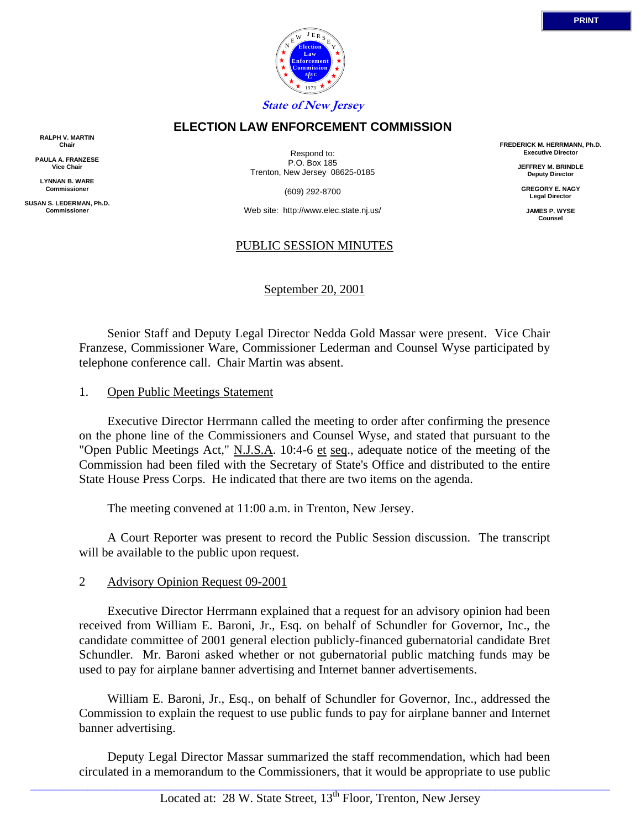

### **ELECTION LAW ENFORCEMENT COMMISSION**

**RALPH V. MARTIN Chair**

**PAULA A. FRANZESE Vice Chair**

**LYNNAN B. WARE Commissioner**

**SUSAN S. LEDERMAN, Ph.D. Commissioner**

Respond to: P.O. Box 185 Trenton, New Jersey 08625-0185

(609) 292-8700

Web site: http://www.elec.state.nj.us/

### PUBLIC SESSION MINUTES

September 20, 2001

 Senior Staff and Deputy Legal Director Nedda Gold Massar were present. Vice Chair Franzese, Commissioner Ware, Commissioner Lederman and Counsel Wyse participated by telephone conference call. Chair Martin was absent.

#### 1. Open Public Meetings Statement

 Executive Director Herrmann called the meeting to order after confirming the presence on the phone line of the Commissioners and Counsel Wyse, and stated that pursuant to the "Open Public Meetings Act," N.J.S.A. 10:4-6 et seq., adequate notice of the meeting of the Commission had been filed with the Secretary of State's Office and distributed to the entire State House Press Corps. He indicated that there are two items on the agenda.

The meeting convened at 11:00 a.m. in Trenton, New Jersey.

 A Court Reporter was present to record the Public Session discussion. The transcript will be available to the public upon request.

#### 2 Advisory Opinion Request 09-2001

 Executive Director Herrmann explained that a request for an advisory opinion had been received from William E. Baroni, Jr., Esq. on behalf of Schundler for Governor, Inc., the candidate committee of 2001 general election publicly-financed gubernatorial candidate Bret Schundler. Mr. Baroni asked whether or not gubernatorial public matching funds may be used to pay for airplane banner advertising and Internet banner advertisements.

 William E. Baroni, Jr., Esq., on behalf of Schundler for Governor, Inc., addressed the Commission to explain the request to use public funds to pay for airplane banner and Internet banner advertising.

 Deputy Legal Director Massar summarized the staff recommendation, which had been circulated in a memorandum to the Commissioners, that it would be appropriate to use public

**FREDERICK M. HERRMANN, Ph.D. Executive Director**

> **JEFFREY M. BRINDLE Deputy Director**

**GREGORY E. NAGY Legal Director**

**JAMES P. WYSE Counsel**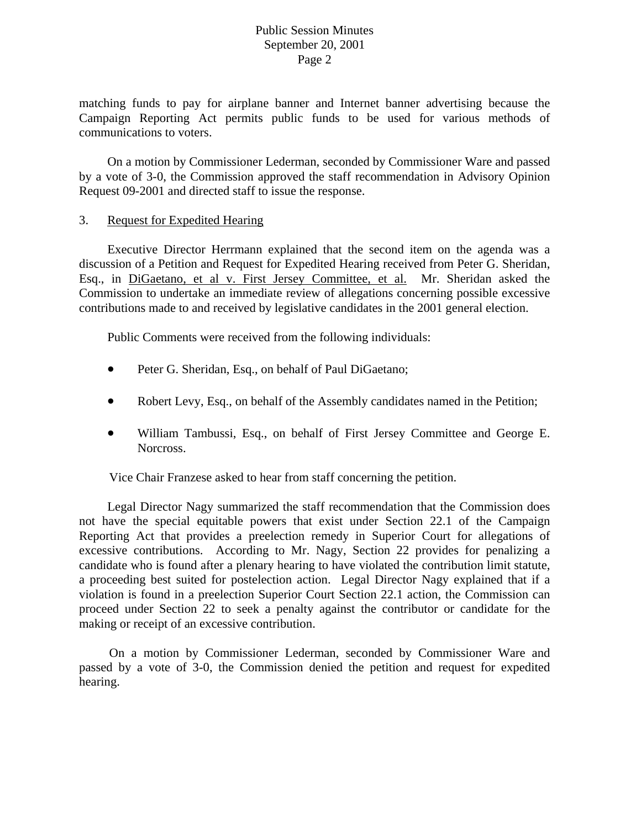### Public Session Minutes September 20, 2001 Page 2

matching funds to pay for airplane banner and Internet banner advertising because the Campaign Reporting Act permits public funds to be used for various methods of communications to voters.

 On a motion by Commissioner Lederman, seconded by Commissioner Ware and passed by a vote of 3-0, the Commission approved the staff recommendation in Advisory Opinion Request 09-2001 and directed staff to issue the response.

### 3. Request for Expedited Hearing

 Executive Director Herrmann explained that the second item on the agenda was a discussion of a Petition and Request for Expedited Hearing received from Peter G. Sheridan, Esq., in DiGaetano, et al v. First Jersey Committee, et al. Mr. Sheridan asked the Commission to undertake an immediate review of allegations concerning possible excessive contributions made to and received by legislative candidates in the 2001 general election.

Public Comments were received from the following individuals:

- Peter G. Sheridan, Esq., on behalf of Paul DiGaetano;
- Robert Levy, Esq., on behalf of the Assembly candidates named in the Petition;
- William Tambussi, Esq., on behalf of First Jersey Committee and George E. Norcross.

Vice Chair Franzese asked to hear from staff concerning the petition.

 Legal Director Nagy summarized the staff recommendation that the Commission does not have the special equitable powers that exist under Section 22.1 of the Campaign Reporting Act that provides a preelection remedy in Superior Court for allegations of excessive contributions. According to Mr. Nagy, Section 22 provides for penalizing a candidate who is found after a plenary hearing to have violated the contribution limit statute, a proceeding best suited for postelection action. Legal Director Nagy explained that if a violation is found in a preelection Superior Court Section 22.1 action, the Commission can proceed under Section 22 to seek a penalty against the contributor or candidate for the making or receipt of an excessive contribution.

On a motion by Commissioner Lederman, seconded by Commissioner Ware and passed by a vote of 3-0, the Commission denied the petition and request for expedited hearing.